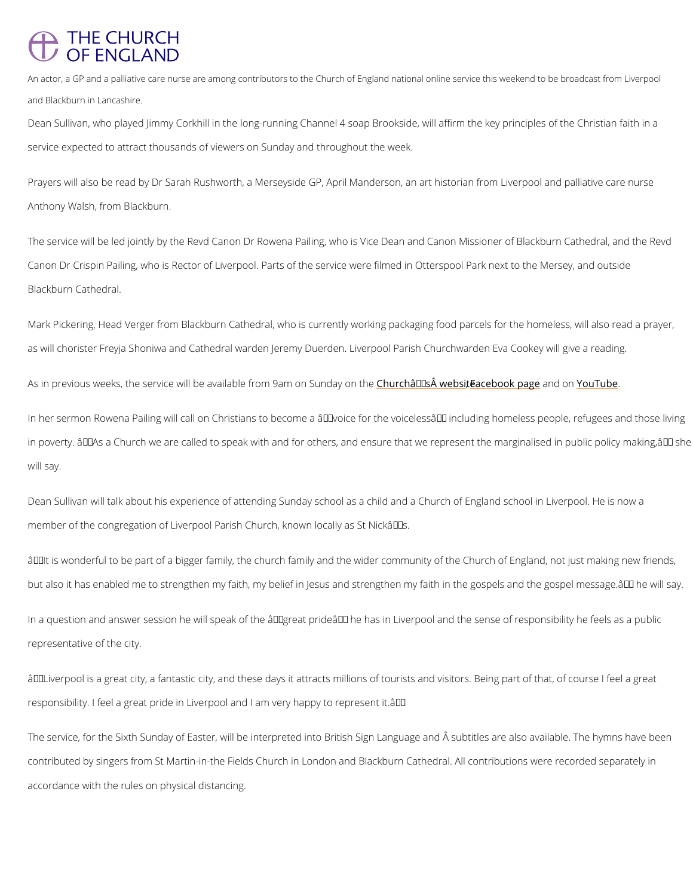## **THE CHURCH** OF ENGLAND

An actor, a GP and a palliative care nurse are among contributors to the Church of England national onl and Blackburn in Lancashire.

Dean Sullivan, who played Jimmy Corkhill in the long-running Channel 4 soap Brookside, will service expected to attract thousands of viewers on Sunday and throughout the week.

Prayers will also be read by Dr Sarah Rushworth, a Merseyside GP, April Manderson, an art l Anthony Walsh, from Blackburn.

The service will be led jointly by the Revd Canon Dr Rowena Pailing, who is Vice Dean and C Canon Dr Crispin Pailing, who is Rector of Liverpool. Parts of the service were filmed in Otte Blackburn Cathedral.

Mark Pickering, Head Verger from Blackburn Cathedral, who is currently working packaging for as will chorister Freyja Shoniwa and Cathedral warden Jeremy Duerden. Liverpool Parish Chu

As in previous weeks, the service will be availab<mark>.Ceh turocom â.∉aT/ms.ÂeFnavoe8enbookbook panamgdehònéno u Tube</mark>

In her sermon Rowena Pailing will call on Christians to become a  $\hat{a} \in \tilde{ }$  voice for the voiceless  $\hat{a}$ in poverty.  $\hat{a} \in \infty$  As a Church we are called to speak with and for others, and ensure that we r will say.

Dean Sullivan will talk about his experience of attending Sunday school as a child and a Chu member of the congregation of Liverpool Parish Church, known locally as St Nickâ $\in \mathbb{T}^M$ s.

 $\hat{a} \in \text{cell}$  is wonderful to be part of a bigger family, the church family and the wider community but also it has enabled me to strengthen my faith, my belief in Jesus and strengthen my faith

In a question and answer session he will speak of the  $\hat{\mathbf{a}} \in \tilde{\mathbb{C}}$ great pride $\hat{\mathbf{a}} \in \tilde{\mathbb{C}}^{\mathsf{M}}$  he has in Liverpool representative of the city.

 $\hat{a} \in \infty$  Liverpool is a great city, a fantastic city, and these days it attracts millions of tourists

responsibility. I feel a great pride in Liverpool and I am very happy to represent it. â€.

The service, for the Sixth Sunday of Easter, will be interpreted into British Sign Language and The subtitles are alls

contributed by singers from St Martin-in-the Fields Church in London and Blackburn Cathedra

accordance with the rules on physical distancing.